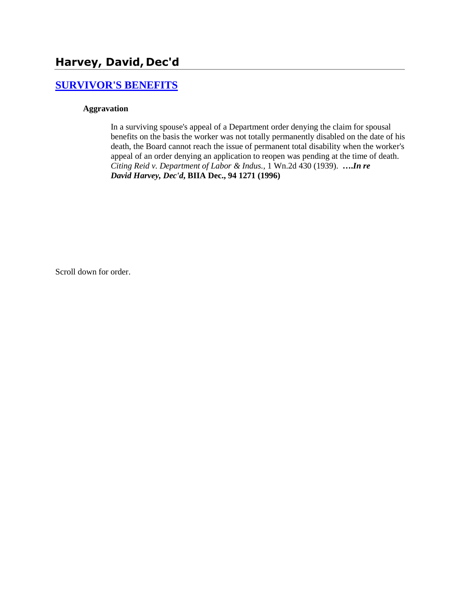# **Harvey, David, Dec'd**

#### **[SURVIVOR'S BENEFITS](http://www.biia.wa.gov/SDSubjectIndex.html#SURVIVORS_BENEFITS)**

#### **Aggravation**

In a surviving spouse's appeal of a Department order denying the claim for spousal benefits on the basis the worker was not totally permanently disabled on the date of his death, the Board cannot reach the issue of permanent total disability when the worker's appeal of an order denying an application to reopen was pending at the time of death. *Citing Reid v. Department of Labor & Indus.,* 1 Wn.2d 430 (1939). **….***In re David Harvey, Dec'd***, BIIA Dec., 94 1271 (1996)** 

Scroll down for order.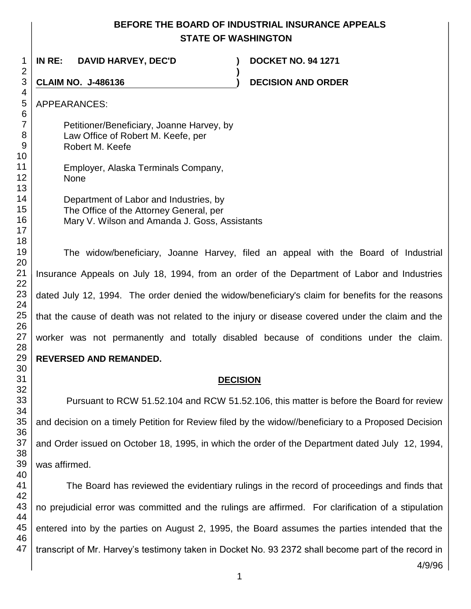## **BEFORE THE BOARD OF INDUSTRIAL INSURANCE APPEALS STATE OF WASHINGTON**

**)**

**IN RE: DAVID HARVEY, DEC'D ) DOCKET NO. 94 1271**

**CLAIM NO. J-486136 ) DECISION AND ORDER** 

APPEARANCES:

Petitioner/Beneficiary, Joanne Harvey, by Law Office of Robert M. Keefe, per Robert M. Keefe

Employer, Alaska Terminals Company, None

> Department of Labor and Industries, by The Office of the Attorney General, per Mary V. Wilson and Amanda J. Goss, Assistants

The widow/beneficiary, Joanne Harvey, filed an appeal with the Board of Industrial Insurance Appeals on July 18, 1994, from an order of the Department of Labor and Industries dated July 12, 1994. The order denied the widow/beneficiary's claim for benefits for the reasons that the cause of death was not related to the injury or disease covered under the claim and the worker was not permanently and totally disabled because of conditions under the claim. **REVERSED AND REMANDED.**

## **DECISION**

Pursuant to RCW 51.52.104 and RCW 51.52.106, this matter is before the Board for review and decision on a timely Petition for Review filed by the widow//beneficiary to a Proposed Decision and Order issued on October 18, 1995, in which the order of the Department dated July 12, 1994, was affirmed.

 The Board has reviewed the evidentiary rulings in the record of proceedings and finds that no prejudicial error was committed and the rulings are affirmed. For clarification of a stipulation entered into by the parties on August 2, 1995, the Board assumes the parties intended that the transcript of Mr. Harvey's testimony taken in Docket No. 93 2372 shall become part of the record in

4/9/96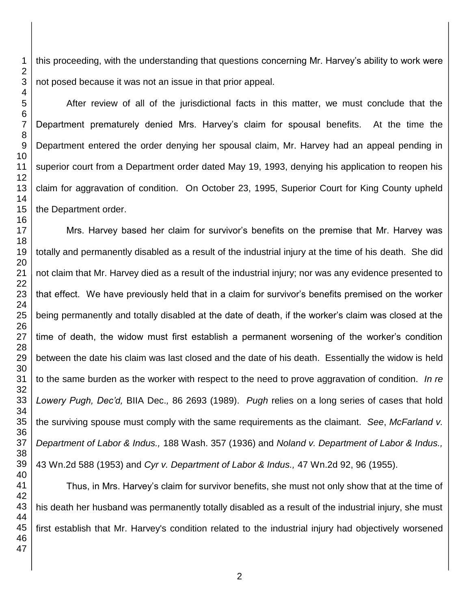this proceeding, with the understanding that questions concerning Mr. Harvey's ability to work were not posed because it was not an issue in that prior appeal.

After review of all of the jurisdictional facts in this matter, we must conclude that the Department prematurely denied Mrs. Harvey's claim for spousal benefits. At the time the Department entered the order denying her spousal claim, Mr. Harvey had an appeal pending in superior court from a Department order dated May 19, 1993, denying his application to reopen his claim for aggravation of condition. On October 23, 1995, Superior Court for King County upheld the Department order.

Mrs. Harvey based her claim for survivor's benefits on the premise that Mr. Harvey was totally and permanently disabled as a result of the industrial injury at the time of his death. She did not claim that Mr. Harvey died as a result of the industrial injury; nor was any evidence presented to that effect. We have previously held that in a claim for survivor's benefits premised on the worker being permanently and totally disabled at the date of death, if the worker's claim was closed at the time of death, the widow must first establish a permanent worsening of the worker's condition between the date his claim was last closed and the date of his death. Essentially the widow is held to the same burden as the worker with respect to the need to prove aggravation of condition. *In re Lowery Pugh, Dec'd,* BIIA Dec.*,* 86 2693 (1989). *Pugh* relies on a long series of cases that hold the surviving spouse must comply with the same requirements as the claimant. *See*, *McFarland v. Department of Labor & Indus.,* 188 Wash. 357 (1936) and *Noland v. Department of Labor & Indus.,* 43 Wn.2d 588 (1953) and *Cyr v. Department of Labor & Indus.,* 47 Wn.2d 92, 96 (1955).

Thus, in Mrs. Harvey's claim for survivor benefits, she must not only show that at the time of his death her husband was permanently totally disabled as a result of the industrial injury, she must first establish that Mr. Harvey's condition related to the industrial injury had objectively worsened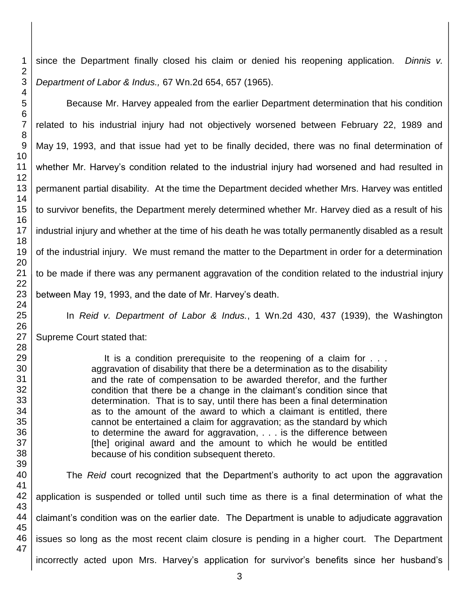since the Department finally closed his claim or denied his reopening application. *Dinnis v. Department of Labor & Indus.,* 67 Wn.2d 654, 657 (1965).

Because Mr. Harvey appealed from the earlier Department determination that his condition related to his industrial injury had not objectively worsened between February 22, 1989 and May 19, 1993, and that issue had yet to be finally decided, there was no final determination of whether Mr. Harvey's condition related to the industrial injury had worsened and had resulted in permanent partial disability. At the time the Department decided whether Mrs. Harvey was entitled to survivor benefits, the Department merely determined whether Mr. Harvey died as a result of his industrial injury and whether at the time of his death he was totally permanently disabled as a result of the industrial injury. We must remand the matter to the Department in order for a determination to be made if there was any permanent aggravation of the condition related to the industrial injury between May 19, 1993, and the date of Mr. Harvey's death.

In *Reid v. Department of Labor & Indus.*, 1 Wn.2d 430, 437 (1939), the Washington Supreme Court stated that:

> It is a condition prerequisite to the reopening of a claim for . . . aggravation of disability that there be a determination as to the disability and the rate of compensation to be awarded therefor, and the further condition that there be a change in the claimant's condition since that determination. That is to say, until there has been a final determination as to the amount of the award to which a claimant is entitled, there cannot be entertained a claim for aggravation; as the standard by which to determine the award for aggravation, . . . is the difference between [the] original award and the amount to which he would be entitled because of his condition subsequent thereto.

The *Reid* court recognized that the Department's authority to act upon the aggravation application is suspended or tolled until such time as there is a final determination of what the claimant's condition was on the earlier date. The Department is unable to adjudicate aggravation issues so long as the most recent claim closure is pending in a higher court. The Department incorrectly acted upon Mrs. Harvey's application for survivor's benefits since her husband's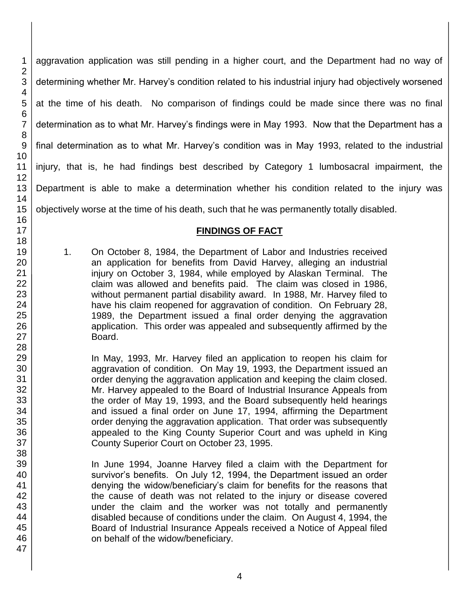aggravation application was still pending in a higher court, and the Department had no way of determining whether Mr. Harvey's condition related to his industrial injury had objectively worsened at the time of his death. No comparison of findings could be made since there was no final determination as to what Mr. Harvey's findings were in May 1993. Now that the Department has a final determination as to what Mr. Harvey's condition was in May 1993, related to the industrial injury, that is, he had findings best described by Category 1 lumbosacral impairment, the Department is able to make a determination whether his condition related to the injury was objectively worse at the time of his death, such that he was permanently totally disabled.

### **FINDINGS OF FACT**

1. On October 8, 1984, the Department of Labor and Industries received an application for benefits from David Harvey, alleging an industrial injury on October 3, 1984, while employed by Alaskan Terminal. The claim was allowed and benefits paid. The claim was closed in 1986, without permanent partial disability award. In 1988, Mr. Harvey filed to have his claim reopened for aggravation of condition. On February 28, 1989, the Department issued a final order denying the aggravation application. This order was appealed and subsequently affirmed by the Board.

In May, 1993, Mr. Harvey filed an application to reopen his claim for aggravation of condition. On May 19, 1993, the Department issued an order denying the aggravation application and keeping the claim closed. Mr. Harvey appealed to the Board of Industrial Insurance Appeals from the order of May 19, 1993, and the Board subsequently held hearings and issued a final order on June 17, 1994, affirming the Department order denying the aggravation application. That order was subsequently appealed to the King County Superior Court and was upheld in King County Superior Court on October 23, 1995.

In June 1994, Joanne Harvey filed a claim with the Department for survivor's benefits. On July 12, 1994, the Department issued an order denying the widow/beneficiary's claim for benefits for the reasons that the cause of death was not related to the injury or disease covered under the claim and the worker was not totally and permanently disabled because of conditions under the claim. On August 4, 1994, the Board of Industrial Insurance Appeals received a Notice of Appeal filed on behalf of the widow/beneficiary.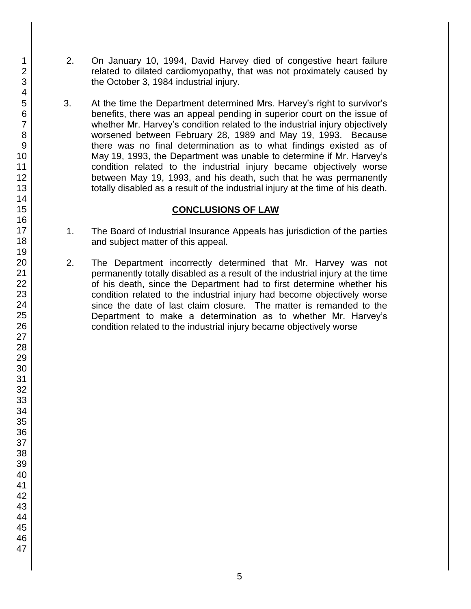- 2. On January 10, 1994, David Harvey died of congestive heart failure related to dilated cardiomyopathy, that was not proximately caused by the October 3, 1984 industrial injury.
- 3. At the time the Department determined Mrs. Harvey's right to survivor's benefits, there was an appeal pending in superior court on the issue of whether Mr. Harvey's condition related to the industrial injury objectively worsened between February 28, 1989 and May 19, 1993. Because there was no final determination as to what findings existed as of May 19, 1993, the Department was unable to determine if Mr. Harvey's condition related to the industrial injury became objectively worse between May 19, 1993, and his death, such that he was permanently totally disabled as a result of the industrial injury at the time of his death.

#### **CONCLUSIONS OF LAW**

- 1. The Board of Industrial Insurance Appeals has jurisdiction of the parties and subject matter of this appeal.
- 2. The Department incorrectly determined that Mr. Harvey was not permanently totally disabled as a result of the industrial injury at the time of his death, since the Department had to first determine whether his condition related to the industrial injury had become objectively worse since the date of last claim closure. The matter is remanded to the Department to make a determination as to whether Mr. Harvey's condition related to the industrial injury became objectively worse